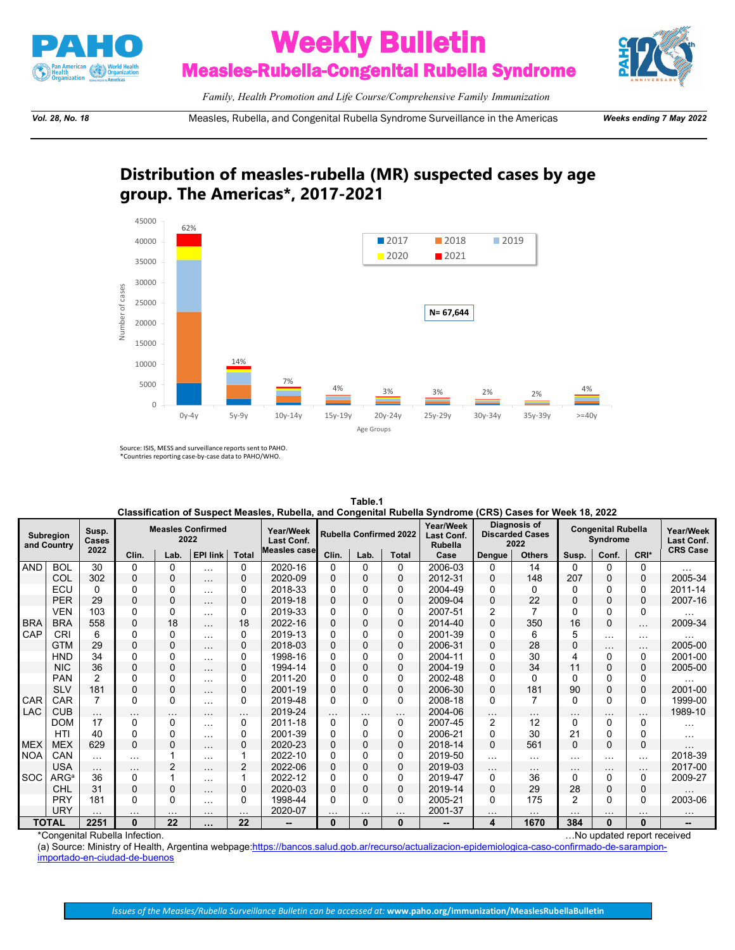

## **Weekly Bulletin**<br>Measles-Rubella-Congenital Rubella Syndrome



*Family, Health Promotion and Life Course/Comprehensive Family Immunization*

*Vol. 28, No. 18* Measles, Rubella, and Congenital Rubella Syndrome Surveillance in the Americas *Weeks ending 7 May 2022*

## **Distribution of measles-rubella (MR) suspected cases by age group. The Americas\*, 2017-2021**



Source: ISIS, MESS and surveillance reports sent to PAHO. \*Countries reporting case-by-case data to PAHO/WHO.

|                          | Classification of Suspect Measles, Rubella, and Congenital Rubella Syndrome (CRS) Cases for Week 18, 2022 |                |             |          |                          |                      |                                |                               |          |              |                                           |                                                |                                              |          |              |                         |                 |
|--------------------------|-----------------------------------------------------------------------------------------------------------|----------------|-------------|----------|--------------------------|----------------------|--------------------------------|-------------------------------|----------|--------------|-------------------------------------------|------------------------------------------------|----------------------------------------------|----------|--------------|-------------------------|-----------------|
| Subregion<br>and Country |                                                                                                           | Susp.<br>Cases |             | 2022     | <b>Measles Confirmed</b> |                      | Year/Week<br><b>Last Conf.</b> | <b>Rubella Confirmed 2022</b> |          |              | Year/Week<br>Last Conf.<br><b>Rubella</b> | Diagnosis of<br><b>Discarded Cases</b><br>2022 | <b>Congenital Rubella</b><br><b>Syndrome</b> |          |              | Year/Week<br>Last Conf. |                 |
|                          |                                                                                                           | 2022           | Clin.       | Lab.     | <b>EPI link</b>          | <b>Total</b>         | <b>Measles case</b>            | Clin.                         | Lab.     | <b>Total</b> | Case                                      | <b>Dengue</b>                                  | <b>Others</b>                                | Susp.    | Conf.        | CRI*                    | <b>CRS Case</b> |
| <b>AND</b>               | <b>BOL</b>                                                                                                | 30             | $\Omega$    | $\Omega$ | $\cdots$                 | 0                    | 2020-16                        | 0                             | $\Omega$ | 0            | 2006-03                                   | 0                                              | 14                                           | 0        | $\Omega$     | 0                       |                 |
|                          | COL                                                                                                       | 302            | 0           | 0        | $\cdots$                 | $\mathbf 0$          | 2020-09                        | 0                             | 0        | 0            | 2012-31                                   | 0                                              | 148                                          | 207      | 0            | $\mathbf 0$             | 2005-34         |
|                          | ECU                                                                                                       | 0              | 0           | $\Omega$ | $\cdots$                 | 0                    | 2018-33                        | 0                             | ŋ        | 0            | 2004-49                                   | <sup>0</sup>                                   | $\Omega$                                     | 0        | U            | $\Omega$                | 2011-14         |
|                          | <b>PER</b>                                                                                                | 29             | 0           | 0        | $\cdots$                 | 0                    | 2019-18                        | 0                             | $\Omega$ | 0            | 2009-04                                   | 0                                              | 22                                           | 0        | 0            | $\mathbf 0$             | 2007-16         |
|                          | <b>VEN</b>                                                                                                | 103            | 0           | $\Omega$ | $\cdots$                 | 0                    | 2019-33                        | 0                             | $\Omega$ | 0            | 2007-51                                   | 2                                              | 7                                            | 0        | $\Omega$     | $\Omega$                |                 |
| <b>BRA</b>               | <b>BRA</b>                                                                                                | 558            | 0           | 18       | $\cdots$                 | 18                   | 2022-16                        | 0                             | $\Omega$ | 0            | 2014-40                                   | $\Omega$                                       | 350                                          | 16       | $\Omega$     | $\cdots$                | 2009-34         |
| CAP                      | CRI                                                                                                       | 6              | 0           | O        | $\cdots$                 | 0                    | 2019-13                        | U                             | O        | 0            | 2001-39                                   |                                                | 6                                            | 5        | $\cdots$     | $\cdots$                |                 |
|                          | <b>GTM</b>                                                                                                | 29             | 0           | 0        | $\cdots$                 | 0                    | 2018-03                        | 0                             | 0        | 0            | 2006-31                                   | 0                                              | 28                                           | 0        |              | $\sim$ $\sim$ $\sim$    | 2005-00         |
|                          | HND                                                                                                       | 34             | 0           | 0        | $\cdots$                 | 0                    | 1998-16                        | 0                             | 0        | 0            | 2004-11                                   | O                                              | 30                                           | 4        | $\Omega$     | 0                       | 2001-00         |
|                          | <b>NIC</b>                                                                                                | 36             | 0           | $\Omega$ | $\cdots$                 | 0                    | 1994-14                        | 0                             | 0        | 0            | 2004-19                                   | 0                                              | 34                                           | 11       | 0            | 0                       | 2005-00         |
|                          | <b>PAN</b>                                                                                                | $\overline{2}$ | 0           | $\Omega$ | $\cdots$                 | 0                    | 2011-20                        | 0                             | $\Omega$ | 0            | 2002-48                                   | O                                              | $\Omega$                                     | 0        | 0            | $\Omega$                |                 |
|                          | <b>SLV</b>                                                                                                | 181            | 0           | 0        | $\cdots$                 | 0                    | 2001-19                        | 0                             | $\Omega$ | 0            | 2006-30                                   | 0                                              | 181                                          | 90       | $\mathbf 0$  | $\mathbf 0$             | 2001-00         |
| <b>CAR</b>               | <b>CAR</b>                                                                                                |                | 0           | $\Omega$ | $\cdots$                 | 0                    | 2019-48                        | 0                             | $\Omega$ | 0            | 2008-18                                   | <sup>0</sup>                                   | 7                                            | 0        | $\Omega$     | $\Omega$                | 1999-00         |
| <b>LAC</b>               | <b>CUB</b>                                                                                                | $\cdots$       | .           |          | .                        | $\sim$ $\sim$ $\sim$ | 2019-24                        | $\cdots$                      | .        | $\cdots$     | 2004-06                                   | .                                              | $\cdots$                                     | $\cdots$ |              | $\cdots$                | 1989-10         |
|                          | <b>DOM</b>                                                                                                | 17             | $\Omega$    | 0        | $\cdots$                 | 0                    | 2011-18                        | 0                             | $\Omega$ | 0            | 2007-45                                   | 2                                              | 12                                           | 0        | $\Omega$     | $\Omega$                | $\cdots$        |
|                          | <b>HTI</b>                                                                                                | 40             | 0           | 0        | $\cdots$                 | 0                    | 2001-39                        | 0                             | $\Omega$ | 0            | 2006-21                                   | 0                                              | 30                                           | 21       | 0            | $\Omega$                | $\cdots$        |
| <b>MEX</b>               | <b>MEX</b>                                                                                                | 629            | 0           | 0        | $\cdots$                 | 0                    | 2020-23                        | 0                             | 0        | 0            | 2018-14                                   | 0                                              | 561                                          | 0        | $\Omega$     | $\Omega$                |                 |
| <b>NOA</b>               | CAN                                                                                                       | $\cdots$       | $\cdots$    |          | $\cdots$                 |                      | 2022-10                        | 0                             | $\Omega$ | 0            | 2019-50                                   | $\cdots$                                       | $\cdots$                                     | $\cdots$ | .            | $\cdots$                | 2018-39         |
|                          | <b>USA</b>                                                                                                | $\cdots$       | $\cdots$    | 2        | $\cdots$                 | 2                    | 2022-06                        | 0                             | 0        | 0            | 2019-03                                   | $\cdots$                                       | $\cdots$                                     | $\cdots$ |              | $\cdots$                | 2017-00         |
| <b>SOC</b>               | $\mathsf{ARG}^\mathsf{a}$                                                                                 | 36             | $\Omega$    |          | $\cdots$                 |                      | 2022-12                        | 0                             | $\Omega$ | 0            | 2019-47                                   | <sup>0</sup>                                   | 36                                           | 0        | $\mathbf{0}$ | $\Omega$                | 2009-27         |
|                          | CHL                                                                                                       | 31             | $\mathbf 0$ | 0        | $\cdots$                 | 0                    | 2020-03                        | 0                             | $\Omega$ | $\mathbf 0$  | 2019-14                                   | 0                                              | 29                                           | 28       | 0            | $\mathbf 0$             |                 |
|                          | <b>PRY</b>                                                                                                | 181            | $\Omega$    | $\Omega$ | $\cdots$                 | 0                    | 1998-44                        | 0                             | $\Omega$ | 0            | 2005-21                                   | 0                                              | 175                                          | 2        | $\Omega$     | $\Omega$                | 2003-06         |
|                          | <b>URY</b>                                                                                                |                |             |          | $\cdots$                 | $\cdots$             | 2020-07                        |                               |          | $\cdots$     | 2001-37                                   | $\cdots$                                       |                                              |          |              | $\cdots$                | $\cdots$        |
| <b>TOTAL</b>             |                                                                                                           | 2251           | $\bf{0}$    | 22       | $\cdots$                 | 22                   | --                             | 0                             | $\bf{0}$ | 0            | --                                        | 4                                              | 1670                                         | 384      | $\bf{0}$     | $\bf{0}$                | --              |

**Table.1**

\*Congenital Rubella Infection. …No updated report received (a) Source: Ministry of Health, Argentina webpage:<u>https://bancos.salud.gob.ar/recurso/actualizacion-epidemiologica-caso-confirmado-de-sarampion-</u>

[importado-en-ciudad-de-buenos](https://bancos.salud.gob.ar/recurso/actualizacion-epidemiologica-caso-confirmado-de-sarampion-importado-en-ciudad-de-buenos)